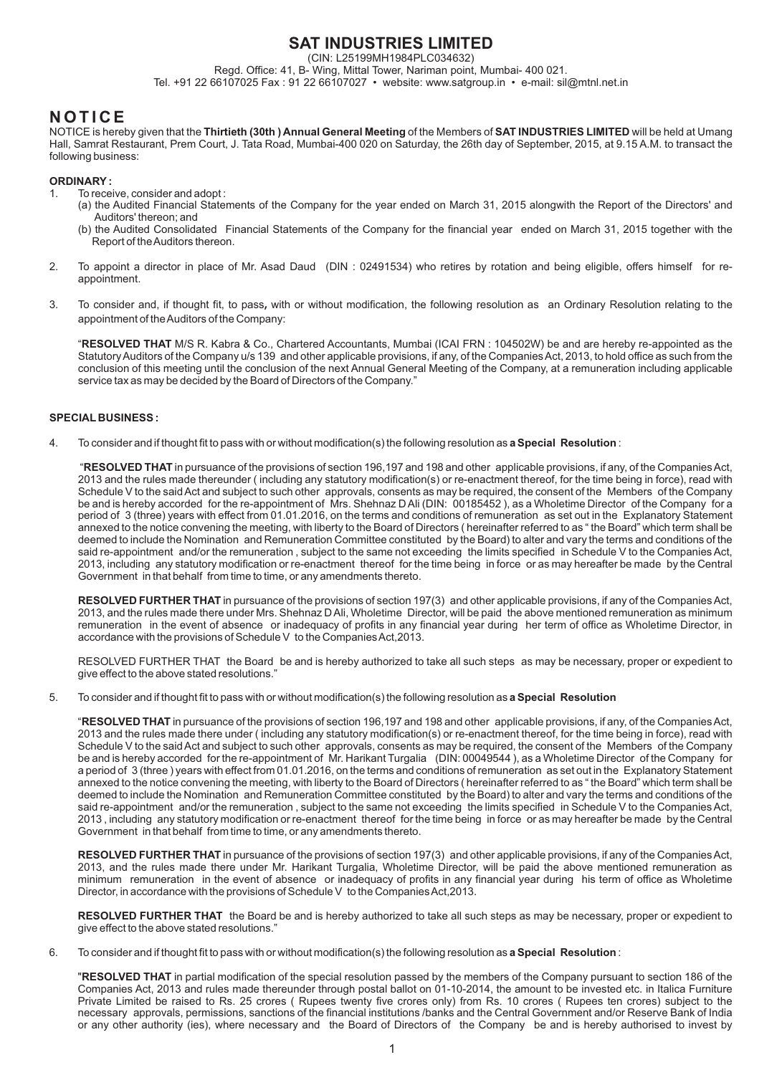# **SAT INDUSTRIES LIMITED**

(CIN: L25199MH1984PLC034632)

Regd. Office: 41, B- Wing, Mittal Tower, Nariman point, Mumbai- 400 021. Tel. +91 22 66107025 Fax : 91 22 66107027 • website: www.satgroup.in • e-mail: sil@mtnl.net.in

# **N O T I C E**

NOTICE is hereby given that the **Thirtieth (30th ) Annual General Meeting** of the Members of **SAT INDUSTRIES LIMITED** will be held at Umang Hall, Samrat Restaurant, Prem Court, J. Tata Road, Mumbai-400 020 on Saturday, the 26th day of September, 2015, at 9.15 A.M. to transact the following business:

# **ORDINARY :**

- 1. To receive, consider and adopt :
	- (a) the Audited Financial Statements of the Company for the year ended on March 31, 2015 alongwith the Report of the Directors' and Auditors' thereon; and
	- (b) the Audited Consolidated Financial Statements of the Company for the financial year ended on March 31, 2015 together with the Report of the Auditors thereon.
- 2. To appoint a director in place of Mr. Asad Daud (DIN : 02491534) who retires by rotation and being eligible, offers himself for reappointment.
- 3. To consider and, if thought fit, to pass**,** with or without modification, the following resolution as an Ordinary Resolution relating to the appointment of the Auditors of the Company:

"**RESOLVED THAT** M/S R. Kabra & Co., Chartered Accountants, Mumbai (ICAI FRN : 104502W) be and are hereby re-appointed as the Statutory Auditors of the Company u/s 139 and other applicable provisions, if any, of the Companies Act, 2013, to hold office as such from the conclusion of this meeting until the conclusion of the next Annual General Meeting of the Company, at a remuneration including applicable service tax as may be decided by the Board of Directors of the Company."

# **SPECIAL BUSINESS :**

4. To consider and if thought fit to pass with or without modification(s) the following resolution as **a Special Resolution** :

 "**RESOLVED THAT** in pursuance of the provisions of section 196,197 and 198 and other applicable provisions, if any, of the Companies Act, 2013 and the rules made thereunder ( including any statutory modification(s) or re-enactment thereof, for the time being in force), read with Schedule V to the said Act and subject to such other approvals, consents as may be required, the consent of the Members of the Company be and is hereby accorded for the re-appointment of Mrs. Shehnaz D Ali (DIN: 00185452 ), as a Wholetime Director of the Company for a period of 3 (three) years with effect from 01.01.2016, on the terms and conditions of remuneration as set out in the Explanatory Statement annexed to the notice convening the meeting, with liberty to the Board of Directors ( hereinafter referred to as " the Board" which term shall be deemed to include the Nomination and Remuneration Committee constituted by the Board) to alter and vary the terms and conditions of the said re-appointment and/or the remuneration, subject to the same not exceeding the limits specified in Schedule V to the Companies Act, 2013, including any statutory modification or re-enactment thereof for the time being in force or as may hereafter be made by the Central Government in that behalf from time to time, or any amendments thereto.

**RESOLVED FURTHER THAT** in pursuance of the provisions of section 197(3) and other applicable provisions, if any of the Companies Act, 2013, and the rules made there under Mrs. Shehnaz D Ali, Wholetime Director, will be paid the above mentioned remuneration as minimum remuneration in the event of absence or inadequacy of profits in any financial year during her term of office as Wholetime Director, in accordance with the provisions of Schedule V to the Companies Act,2013.

RESOLVED FURTHER THAT the Board be and is hereby authorized to take all such steps as may be necessary, proper or expedient to give effect to the above stated resolutions."

5. To consider and if thought fit to pass with or without modification(s) the following resolution as **a Special Resolution** 

"**RESOLVED THAT** in pursuance of the provisions of section 196,197 and 198 and other applicable provisions, if any, of the Companies Act, 2013 and the rules made there under ( including any statutory modification(s) or re-enactment thereof, for the time being in force), read with Schedule V to the said Act and subject to such other approvals, consents as may be required, the consent of the Members of the Company be and is hereby accorded for the re-appointment of Mr. Harikant Turgalia (DIN: 00049544 ), as a Wholetime Director of the Company for a period of 3 (three ) years with effect from 01.01.2016, on the terms and conditions of remuneration as set out in the Explanatory Statement annexed to the notice convening the meeting, with liberty to the Board of Directors ( hereinafter referred to as " the Board" which term shall be deemed to include the Nomination and Remuneration Committee constituted by the Board) to alter and vary the terms and conditions of the said re-appointment and/or the remuneration, subject to the same not exceeding the limits specified in Schedule V to the Companies Act, 2013 , including any statutory modification or re-enactment thereof for the time being in force or as may hereafter be made by the Central Government in that behalf from time to time, or any amendments thereto.

**RESOLVED FURTHER THAT** in pursuance of the provisions of section 197(3) and other applicable provisions, if any of the Companies Act, 2013, and the rules made there under Mr. Harikant Turgalia, Wholetime Director, will be paid the above mentioned remuneration as minimum remuneration in the event of absence or inadequacy of profits in any financial year during his term of office as Wholetime Director, in accordance with the provisions of Schedule V to the Companies Act,2013.

**RESOLVED FURTHER THAT** the Board be and is hereby authorized to take all such steps as may be necessary, proper or expedient to give effect to the above stated resolutions."

6. To consider and if thought fit to pass with or without modification(s) the following resolution as **a Special Resolution** :

"**RESOLVED THAT** in partial modification of the special resolution passed by the members of the Company pursuant to section 186 of the Companies Act, 2013 and rules made thereunder through postal ballot on 01-10-2014, the amount to be invested etc. in Italica Furniture Private Limited be raised to Rs. 25 crores ( Rupees twenty five crores only) from Rs. 10 crores ( Rupees ten crores) subject to the necessary approvals, permissions, sanctions of the financial institutions /banks and the Central Government and/or Reserve Bank of India or any other authority (ies), where necessary and the Board of Directors of the Company be and is hereby authorised to invest by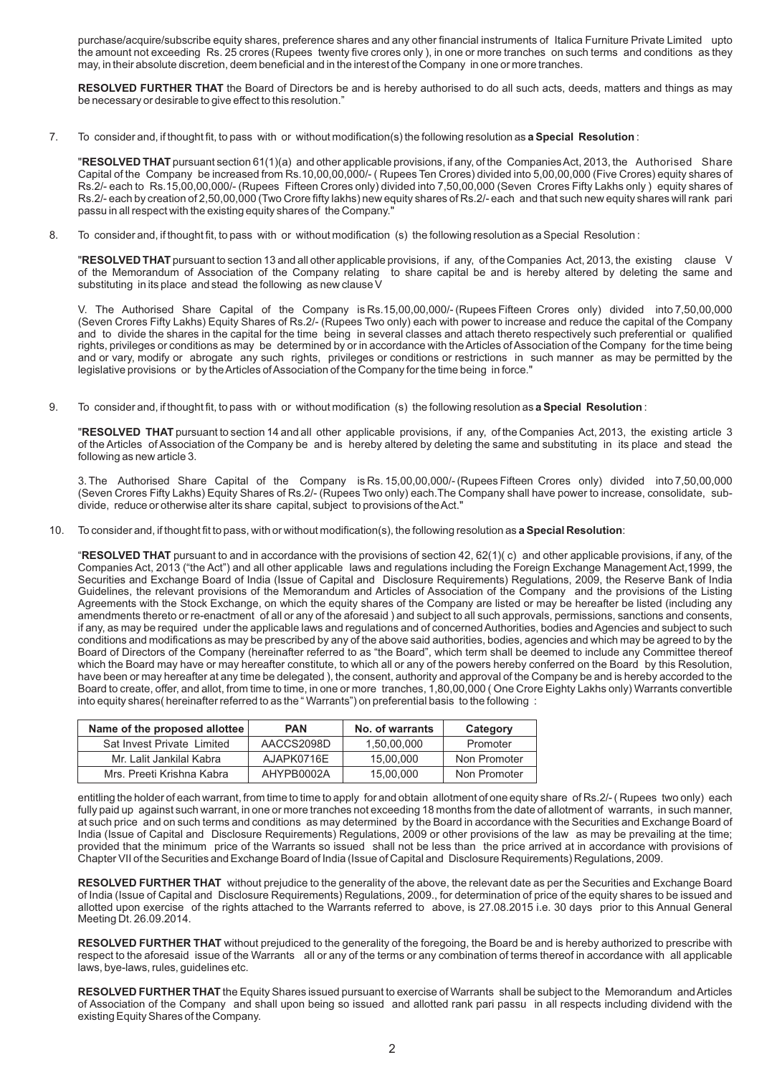purchase/acquire/subscribe equity shares, preference shares and any other financial instruments of Italica Furniture Private Limited upto the amount not exceeding Rs. 25 crores (Rupees twenty five crores only ), in one or more tranches on such terms and conditions as they may, in their absolute discretion, deem beneficial and in the interest of the Company in one or more tranches.

**RESOLVED FURTHER THAT** the Board of Directors be and is hereby authorised to do all such acts, deeds, matters and things as may be necessary or desirable to give effect to this resolution."

7. To consider and, if thought fit, to pass with or without modification(s) the following resolution as **a Special Resolution** :

"**RESOLVED THAT** pursuant section 61(1)(a) and other applicable provisions, if any, of the Companies Act, 2013, the Authorised Share Capital of the Company be increased from Rs.10,00,00,000/- ( Rupees Ten Crores) divided into 5,00,00,000 (Five Crores) equity shares of Rs.2/- each to Rs.15,00,00,000/- (Rupees Fifteen Crores only) divided into 7,50,00,000 (Seven Crores Fifty Lakhs only ) equity shares of Rs.2/- each by creation of 2,50,00,000 (Two Crore fifty lakhs) new equity shares of Rs.2/- each and that such new equity shares will rank pari passu in all respect with the existing equity shares of the Company."

8. To consider and, if thought fit, to pass with or without modification (s) the following resolution as a Special Resolution :

"**RESOLVED THAT** pursuant to section 13 and all other applicable provisions, if any, of the Companies Act, 2013, the existing clause V of the Memorandum of Association of the Company relating to share capital be and is hereby altered by deleting the same and substituting in its place and stead the following as new clause V

V. The Authorised Share Capital of the Company is Rs.15,00,00,000/- (Rupees Fifteen Crores only) divided into 7,50,00,000 (Seven Crores Fifty Lakhs) Equity Shares of Rs.2/- (Rupees Two only) each with power to increase and reduce the capital of the Company and to divide the shares in the capital for the time being in several classes and attach thereto respectively such preferential or qualified rights, privileges or conditions as may be determined by or in accordance with the Articles of Association of the Company for the time being and or vary, modify or abrogate any such rights, privileges or conditions or restrictions in such manner as may be permitted by the legislative provisions or by the Articles of Association of the Company for the time being in force."

9. To consider and, if thought fit, to pass with or without modification (s) the following resolution as **a Special Resolution** :

"**RESOLVED THAT** pursuant to section 14 and all other applicable provisions, if any, of the Companies Act, 2013, the existing article 3 of the Articles of Association of the Company be and is hereby altered by deleting the same and substituting in its place and stead the following as new article 3.

3. The Authorised Share Capital of the Company is Rs. 15,00,00,000/- (Rupees Fifteen Crores only) divided into 7,50,00,000 (Seven Crores Fifty Lakhs) Equity Shares of Rs.2/- (Rupees Two only) each.The Company shall have power to increase, consolidate, subdivide, reduce or otherwise alter its share capital, subject to provisions of the Act."

10. To consider and, if thought fit to pass, with or without modification(s), the following resolution as **a Special Resolution**:

"**RESOLVED THAT** pursuant to and in accordance with the provisions of section 42, 62(1)( c) and other applicable provisions, if any, of the Companies Act, 2013 ("the Act") and all other applicable laws and regulations including the Foreign Exchange Management Act,1999, the Securities and Exchange Board of India (Issue of Capital and Disclosure Requirements) Regulations, 2009, the Reserve Bank of India Guidelines, the relevant provisions of the Memorandum and Articles of Association of the Company and the provisions of the Listing Agreements with the Stock Exchange, on which the equity shares of the Company are listed or may be hereafter be listed (including any amendments thereto or re-enactment of all or any of the aforesaid ) and subject to all such approvals, permissions, sanctions and consents, if any, as may be required under the applicable laws and regulations and of concerned Authorities, bodies and Agencies and subject to such conditions and modifications as may be prescribed by any of the above said authorities, bodies, agencies and which may be agreed to by the Board of Directors of the Company (hereinafter referred to as "the Board", which term shall be deemed to include any Committee thereof which the Board may have or may hereafter constitute, to which all or any of the powers hereby conferred on the Board by this Resolution, have been or may hereafter at any time be delegated ), the consent, authority and approval of the Company be and is hereby accorded to the Board to create, offer, and allot, from time to time, in one or more tranches, 1,80,00,000 ( One Crore Eighty Lakhs only) Warrants convertible into equity shares( hereinafter referred to as the " Warrants") on preferential basis to the following :

| Name of the proposed allottee | <b>PAN</b> | No. of warrants | Category     |
|-------------------------------|------------|-----------------|--------------|
| Sat Invest Private Limited    | AACCS2098D | 1.50.00.000     | Promoter     |
| Mr. Lalit Jankilal Kabra      | AJAPK0716E | 15.00.000       | Non Promoter |
| Mrs. Preeti Krishna Kabra     | AHYPB0002A | 15.00.000       | Non Promoter |

entitling the holder of each warrant, from time to time to apply for and obtain allotment of one equity share of Rs.2/- ( Rupees two only) each fully paid up against such warrant, in one or more tranches not exceeding 18 months from the date of allotment of warrants, in such manner, at such price and on such terms and conditions as may determined by the Board in accordance with the Securities and Exchange Board of India (Issue of Capital and Disclosure Requirements) Regulations, 2009 or other provisions of the law as may be prevailing at the time; provided that the minimum price of the Warrants so issued shall not be less than the price arrived at in accordance with provisions of Chapter VII of the Securities and Exchange Board of India (Issue of Capital and Disclosure Requirements) Regulations, 2009.

**RESOLVED FURTHER THAT** without prejudice to the generality of the above, the relevant date as per the Securities and Exchange Board of India (Issue of Capital and Disclosure Requirements) Regulations, 2009., for determination of price of the equity shares to be issued and allotted upon exercise of the rights attached to the Warrants referred to above, is 27.08.2015 i.e. 30 days prior to this Annual General Meeting Dt. 26.09.2014.

**RESOLVED FURTHER THAT** without prejudiced to the generality of the foregoing, the Board be and is hereby authorized to prescribe with respect to the aforesaid issue of the Warrants all or any of the terms or any combination of terms thereof in accordance with all applicable laws, bye-laws, rules, guidelines etc.

**RESOLVED FURTHER THAT** the Equity Shares issued pursuant to exercise of Warrants shall be subject to the Memorandum and Articles of Association of the Company and shall upon being so issued and allotted rank pari passu in all respects including dividend with the existing Equity Shares of the Company.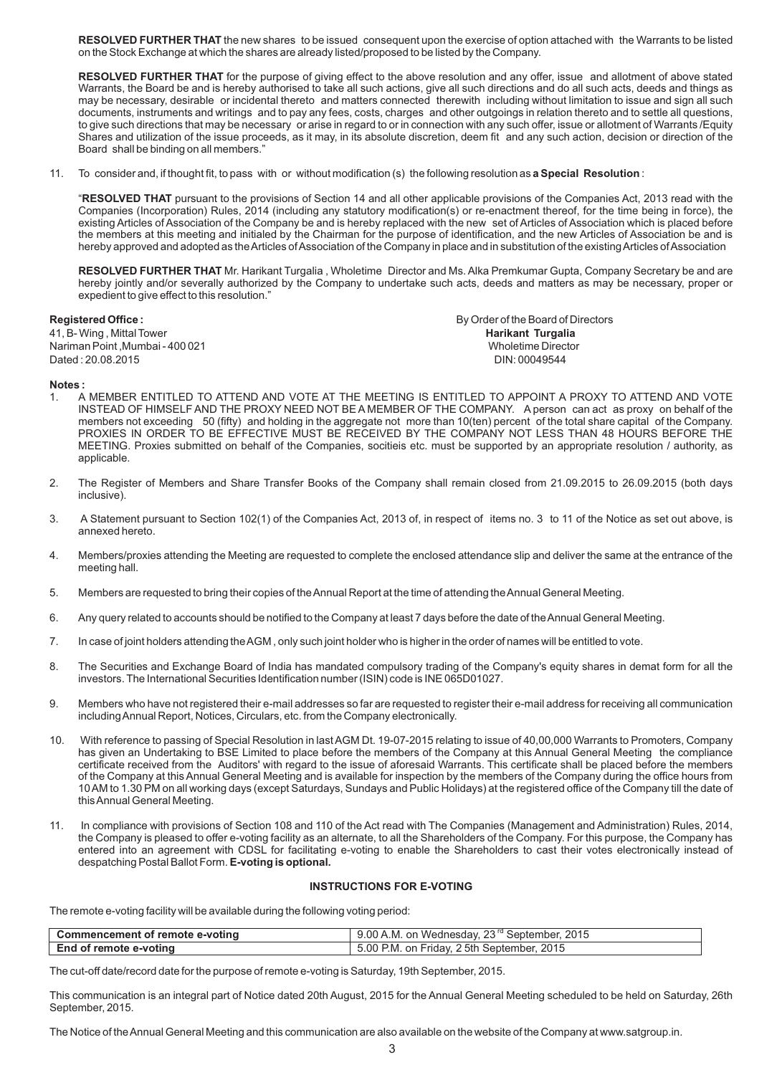**RESOLVED FURTHER THAT** the new shares to be issued consequent upon the exercise of option attached with the Warrants to be listed on the Stock Exchange at which the shares are already listed/proposed to be listed by the Company.

**RESOLVED FURTHER THAT** for the purpose of giving effect to the above resolution and any offer, issue and allotment of above stated Warrants, the Board be and is hereby authorised to take all such actions, give all such directions and do all such acts, deeds and things as may be necessary, desirable or incidental thereto and matters connected therewith including without limitation to issue and sign all such documents, instruments and writings and to pay any fees, costs, charges and other outgoings in relation thereto and to settle all questions, to give such directions that may be necessary or arise in regard to or in connection with any such offer, issue or allotment of Warrants /Equity Shares and utilization of the issue proceeds, as it may, in its absolute discretion, deem fit and any such action, decision or direction of the Board shall be binding on all members."

11. To consider and, if thought fit, to pass with or without modification (s) the following resolution as **a Special Resolution** :

"**RESOLVED THAT** pursuant to the provisions of Section 14 and all other applicable provisions of the Companies Act, 2013 read with the Companies (Incorporation) Rules, 2014 (including any statutory modification(s) or re-enactment thereof, for the time being in force), the existing Articles of Association of the Company be and is hereby replaced with the new set of Articles of Association which is placed before the members at this meeting and initialed by the Chairman for the purpose of identification, and the new Articles of Association be and is hereby approved and adopted as the Articles of Association of the Company in place and in substitution of the existing Articles of Association

**RESOLVED FURTHER THAT** Mr. Harikant Turgalia , Wholetime Director and Ms. Alka Premkumar Gupta, Company Secretary be and are hereby jointly and/or severally authorized by the Company to undertake such acts, deeds and matters as may be necessary, proper or expedient to give effect to this resolution."

41, B- Wing , Mittal Tower **Harikant Turgalia** Nariman Point ,Mumbai - 400 021 Wholetime Director Dated: 20.08.2015

**Registered Office : By Order of the Board of Directors** 

#### **Notes :**

- A MEMBER ENTITLED TO ATTEND AND VOTE AT THE MEETING IS ENTITLED TO APPOINT A PROXY TO ATTEND AND VOTE INSTEAD OF HIMSELF AND THE PROXY NEED NOT BE A MEMBER OF THE COMPANY. A person can act as proxy on behalf of the members not exceeding 50 (fifty) and holding in the aggregate not more than 10(ten) percent of the total share capital of the Company. PROXIES IN ORDER TO BE EFFECTIVE MUST BE RECEIVED BY THE COMPANY NOT LESS THAN 48 HOURS BEFORE THE MEETING. Proxies submitted on behalf of the Companies, socitieis etc. must be supported by an appropriate resolution / authority, as applicable.
- 2. The Register of Members and Share Transfer Books of the Company shall remain closed from 21.09.2015 to 26.09.2015 (both days inclusive).
- 3. A Statement pursuant to Section 102(1) of the Companies Act, 2013 of, in respect of items no. 3 to 11 of the Notice as set out above, is annexed hereto.
- 4. Members/proxies attending the Meeting are requested to complete the enclosed attendance slip and deliver the same at the entrance of the meeting hall.
- 5. Members are requested to bring their copies of the Annual Report at the time of attending the Annual General Meeting.
- 6. Any query related to accounts should be notified to the Company at least 7 days before the date of the Annual General Meeting.
- 7. In case of joint holders attending the AGM , only such joint holder who is higher in the order of names will be entitled to vote.
- 8. The Securities and Exchange Board of India has mandated compulsory trading of the Company's equity shares in demat form for all the investors. The International Securities Identification number (ISIN) code is INE 065D01027.
- 9. Members who have not registered their e-mail addresses so far are requested to register their e-mail address for receiving all communication including Annual Report, Notices, Circulars, etc. from the Company electronically.
- 10. With reference to passing of Special Resolution in last AGM Dt. 19-07-2015 relating to issue of 40,00,000 Warrants to Promoters, Company has given an Undertaking to BSE Limited to place before the members of the Company at this Annual General Meeting the compliance certificate received from the Auditors' with regard to the issue of aforesaid Warrants. This certificate shall be placed before the members of the Company at this Annual General Meeting and is available for inspection by the members of the Company during the office hours from 10 AM to 1.30 PM on all working days (except Saturdays, Sundays and Public Holidays) at the registered office of the Company till the date of this Annual General Meeting.
- 11. In compliance with provisions of Section 108 and 110 of the Act read with The Companies (Management and Administration) Rules, 2014, the Company is pleased to offer e-voting facility as an alternate, to all the Shareholders of the Company. For this purpose, the Company has entered into an agreement with CDSL for facilitating e-voting to enable the Shareholders to cast their votes electronically instead of despatching Postal Ballot Form. **E-voting is optional.**

#### **INSTRUCTIONS FOR E-VOTING**

The remote e-voting facility will be available during the following voting period:

| Commencement of remote e-voting | . on Wednesdav. 23 <sup>rd</sup> September.<br>2015<br>9.00 A.M. |
|---------------------------------|------------------------------------------------------------------|
| End of remote e-voting          | on Friday, 25th September, 2015<br>5.00<br>P.M.                  |

The cut-off date/record date for the purpose of remote e-voting is Saturday, 19th September, 2015.

This communication is an integral part of Notice dated 20th August, 2015 for the Annual General Meeting scheduled to be held on Saturday, 26th September, 2015.

The Notice of the Annual General Meeting and this communication are also available on the website of the Company at www.satgroup.in.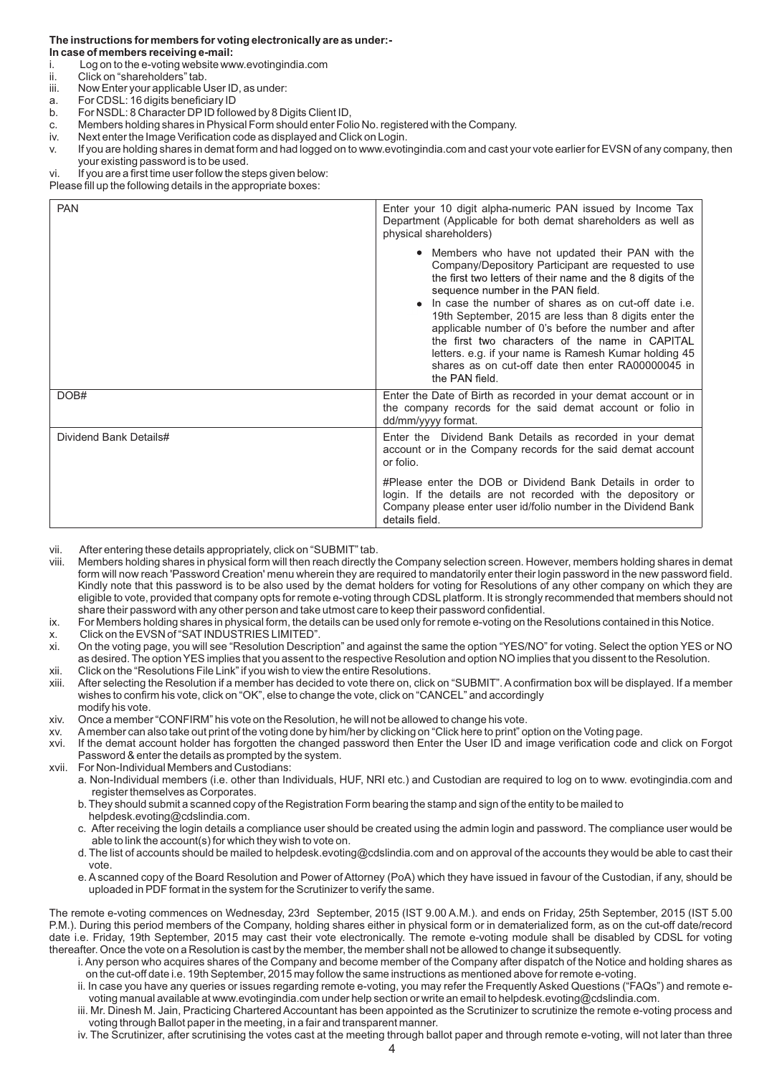#### **The instructions for members for voting electronically are as under:- In case of members receiving e-mail:**

- i. Log on to the e-voting website www.evotingindia.com
- 
- ii. Click on "shareholders" tab.<br>iii. Now Enter your applicable U Now Enter your applicable User ID, as under:
- a. For CDSL: 16 digits beneficiary ID
- b. For NSDL: 8 Character DP ID followed by 8 Digits Client ID,
- c. Members holding shares in Physical Form should enter Folio No. registered with the Company.
- iv. Next enter the Image Verification code as displayed and Click on Login.
- v. If you are holding shares in demat form and had logged on to www.evotingindia.com and cast your vote earlier for EVSN of any company, then your existing password is to be used.
- vi. If you are a first time user follow the steps given below:

Please fill up the following details in the appropriate boxes:

| <b>PAN</b>             | Enter your 10 digit alpha-numeric PAN issued by Income Tax<br>Department (Applicable for both demat shareholders as well as<br>physical shareholders)                                                                                                                                                                                                                                                                                                                                                                                                                       |
|------------------------|-----------------------------------------------------------------------------------------------------------------------------------------------------------------------------------------------------------------------------------------------------------------------------------------------------------------------------------------------------------------------------------------------------------------------------------------------------------------------------------------------------------------------------------------------------------------------------|
|                        | • Members who have not updated their PAN with the<br>Company/Depository Participant are requested to use<br>the first two letters of their name and the 8 digits of the<br>sequence number in the PAN field.<br>• In case the number of shares as on cut-off date i.e.<br>19th September, 2015 are less than 8 digits enter the<br>applicable number of 0's before the number and after<br>the first two characters of the name in CAPITAL<br>letters. e.g. if your name is Ramesh Kumar holding 45<br>shares as on cut-off date then enter RA00000045 in<br>the PAN field. |
| DOB#                   | Enter the Date of Birth as recorded in your demat account or in<br>the company records for the said demat account or folio in<br>dd/mm/yyyy format.                                                                                                                                                                                                                                                                                                                                                                                                                         |
| Dividend Bank Details# | Enter the Dividend Bank Details as recorded in your demat<br>account or in the Company records for the said demat account<br>or folio.                                                                                                                                                                                                                                                                                                                                                                                                                                      |
|                        | #Please enter the DOB or Dividend Bank Details in order to<br>login. If the details are not recorded with the depository or<br>Company please enter user id/folio number in the Dividend Bank<br>details field.                                                                                                                                                                                                                                                                                                                                                             |

vii. After entering these details appropriately, click on "SUBMIT" tab.

viii. Members holding shares in physical form will then reach directly the Company selection screen. However, members holding shares in demat form will now reach 'Password Creation' menu wherein they are required to mandatorily enter their login password in the new password field. Kindly note that this password is to be also used by the demat holders for voting for Resolutions of any other company on which they are eligible to vote, provided that company opts for remote e-voting through CDSL platform. It is strongly recommended that members should not share their password with any other person and take utmost care to keep their password confidential.

ix. For Members holding shares in physical form, the details can be used only for remote e-voting on the Resolutions contained in this Notice. x. Click on the EVSN of "SAT INDUSTRIES LIMITED".

- xi. On the voting page, you will see "Resolution Description" and against the same the option "YES/NO" for voting. Select the option YES or NO as desired. The option YES implies that you assent to the respective Resolution and option NO implies that you dissent to the Resolution.
- 
- xii. Click on the "Resolutions File Link" if you wish to view the entire Resolutions. After selecting the Resolution if a member has decided to vote there on, click on "SUBMIT". A confirmation box will be displayed. If a member wishes to confirm his vote, click on "OK", else to change the vote, click on "CANCEL" and accordingly modify his vote.
- xiv. Once a member "CONFIRM" his vote on the Resolution, he will not be allowed to change his vote.
- xv. A member can also take out print of the voting done by him/her by clicking on "Click here to print" option on the Voting page.

xvi. If the demat account holder has forgotten the changed password then Enter the User ID and image verification code and click on Forgot Password & enter the details as prompted by the system.

- xvii. For Non-Individual Members and Custodians:
	- a. Non-Individual members (i.e. other than Individuals, HUF, NRI etc.) and Custodian are required to log on to www. evotingindia.com and register themselves as Corporates.
	- b. They should submit a scanned copy of the Registration Form bearing the stamp and sign of the entity to be mailed to helpdesk.evoting@cdslindia.com.
	- c. After receiving the login details a compliance user should be created using the admin login and password. The compliance user would be able to link the account(s) for which they wish to vote on.
	- d. The list of accounts should be mailed to helpdesk.evoting@cdslindia.com and on approval of the accounts they would be able to cast their vote.
	- e. A scanned copy of the Board Resolution and Power of Attorney (PoA) which they have issued in favour of the Custodian, if any, should be uploaded in PDF format in the system for the Scrutinizer to verify the same.

The remote e-voting commences on Wednesday, 23rd September, 2015 (IST 9.00 A.M.). and ends on Friday, 25th September, 2015 (IST 5.00 P.M.). During this period members of the Company, holding shares either in physical form or in dematerialized form, as on the cut-off date/record date i.e. Friday, 19th September, 2015 may cast their vote electronically. The remote e-voting module shall be disabled by CDSL for voting thereafter. Once the vote on a Resolution is cast by the member, the member shall not be allowed to change it subsequently.

- i. Any person who acquires shares of the Company and become member of the Company after dispatch of the Notice and holding shares as on the cut-off date i.e. 19th September, 2015 may follow the same instructions as mentioned above for remote e-voting.
- ii. In case you have any queries or issues regarding remote e-voting, you may refer the Frequently Asked Questions ("FAQs") and remote e voting manual available at www.evotingindia.com under help section or write an email to helpdesk.evoting@cdslindia.com.
- iii. Mr. Dinesh M. Jain, Practicing Chartered Accountant has been appointed as the Scrutinizer to scrutinize the remote e-voting process and voting through Ballot paper in the meeting, in a fair and transparent manner.
- iv. The Scrutinizer, after scrutinising the votes cast at the meeting through ballot paper and through remote e-voting, will not later than three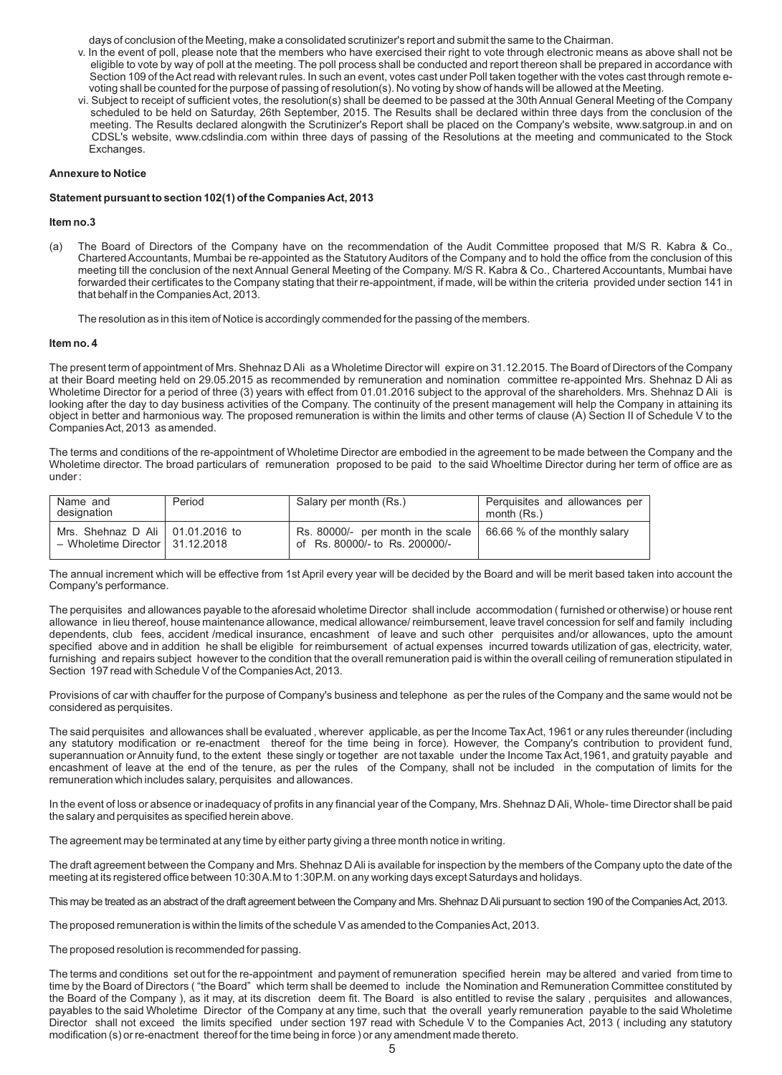days of conclusion of the Meeting, make a consolidated scrutinizer's report and submit the same to the Chairman.

- v. In the event of poll, please note that the members who have exercised their right to vote through electronic means as above shall not be eligible to vote by way of poll at the meeting. The poll process shall be conducted and report thereon shall be prepared in accordance with Section 109 of the Act read with relevant rules. In such an event, votes cast under Poll taken together with the votes cast through remote e voting shall be counted for the purpose of passing of resolution(s). No voting by show of hands will be allowed at the Meeting.
- vi. Subject to receipt of sufficient votes, the resolution(s) shall be deemed to be passed at the 30th Annual General Meeting of the Company scheduled to be held on Saturday, 26th September, 2015. The Results shall be declared within three days from the conclusion of the meeting. The Results declared alongwith the Scrutinizer's Report shall be placed on the Company's website, www.satgroup.in and on CDSL's website, www.cdslindia.com within three days of passing of the Resolutions at the meeting and communicated to the Stock Exchanges.

### **Annexure to Notice**

#### **Statement pursuant to section 102(1) of the Companies Act, 2013**

#### **Item no.3**

(a) The Board of Directors of the Company have on the recommendation of the Audit Committee proposed that M/S R. Kabra & Co., Chartered Accountants, Mumbai be re-appointed as the Statutory Auditors of the Company and to hold the office from the conclusion of this meeting till the conclusion of the next Annual General Meeting of the Company. M/S R. Kabra & Co., Chartered Accountants, Mumbai have forwarded their certificates to the Company stating that their re-appointment, if made, will be within the criteria provided under section 141 in that behalf in the Companies Act, 2013.

The resolution as in this item of Notice is accordingly commended for the passing of the members.

### **Item no. 4**

The present term of appointment of Mrs. Shehnaz D Ali as a Wholetime Director will expire on 31.12.2015. The Board of Directors of the Company at their Board meeting held on 29.05.2015 as recommended by remuneration and nomination committee re-appointed Mrs. Shehnaz D Ali as Wholetime Director for a period of three (3) years with effect from 01.01.2016 subject to the approval of the shareholders. Mrs. Shehnaz D Ali is looking after the day to day business activities of the Company. The continuity of the present management will help the Company in attaining its object in better and harmonious way. The proposed remuneration is within the limits and other terms of clause (A) Section II of Schedule V to the Companies Act, 2013 as amended.

The terms and conditions of the re-appointment of Wholetime Director are embodied in the agreement to be made between the Company and the Wholetime director. The broad particulars of remuneration proposed to be paid to the said Whoeltime Director during her term of office are as under :

| Name and<br>designation                                                       | Period | Salary per month (Rs.)                                               | Perquisites and allowances per<br>month (Rs.) |
|-------------------------------------------------------------------------------|--------|----------------------------------------------------------------------|-----------------------------------------------|
| Mrs. Shehnaz D Ali $\vert$ 01.01.2016 to<br>- Wholetime Director   31.12.2018 |        | Rs. 80000/- per month in the scale<br>of Rs. 80000/- to Rs. 200000/- | 66.66 % of the monthly salary                 |

The annual increment which will be effective from 1st April every year will be decided by the Board and will be merit based taken into account the Company's performance.

The perquisites and allowances payable to the aforesaid wholetime Director shall include accommodation ( furnished or otherwise) or house rent allowance in lieu thereof, house maintenance allowance, medical allowance/ reimbursement, leave travel concession for self and family including dependents, club fees, accident /medical insurance, encashment of leave and such other perquisites and/or allowances, upto the amount specified above and in addition he shall be eligible for reimbursement of actual expenses incurred towards utilization of gas, electricity, water, furnishing and repairs subject however to the condition that the overall remuneration paid is within the overall ceiling of remuneration stipulated in Section 197 read with Schedule V of the Companies Act, 2013.

Provisions of car with chauffer for the purpose of Company's business and telephone as per the rules of the Company and the same would not be considered as perquisites.

The said perquisites and allowances shall be evaluated , wherever applicable, as per the Income Tax Act, 1961 or any rules thereunder (including any statutory modification or re-enactment thereof for the time being in force). However, the Company's contribution to provident fund, superannuation or Annuity fund, to the extent these singly or together are not taxable under the Income Tax Act,1961, and gratuity payable and encashment of leave at the end of the tenure, as per the rules of the Company, shall not be included in the computation of limits for the remuneration which includes salary, perquisites and allowances.

In the event of loss or absence or inadequacy of profits in any financial year of the Company, Mrs. Shehnaz D Ali, Whole- time Director shall be paid the salary and perquisites as specified herein above.

The agreement may be terminated at any time by either party giving a three month notice in writing.

The draft agreement between the Company and Mrs. Shehnaz D Ali is available for inspection by the members of the Company upto the date of the meeting at its registered office between 10:30 A.M to 1:30P.M. on any working days except Saturdays and holidays.

This may be treated as an abstract of the draft agreement between the Company and Mrs. Shehnaz D Ali pursuant to section 190 of the Companies Act, 2013.

The proposed remuneration is within the limits of the schedule V as amended to the Companies Act, 2013.

The proposed resolution is recommended for passing.

The terms and conditions set out for the re-appointment and payment of remuneration specified herein may be altered and varied from time to time by the Board of Directors ( "the Board" which term shall be deemed to include the Nomination and Remuneration Committee constituted by the Board of the Company ), as it may, at its discretion deem fit. The Board is also entitled to revise the salary , perquisites and allowances, payables to the said Wholetime Director of the Company at any time, such that the overall yearly remuneration payable to the said Wholetime Director shall not exceed the limits specified under section 197 read with Schedule V to the Companies Act, 2013 ( including any statutory modification (s) or re-enactment thereof for the time being in force ) or any amendment made thereto.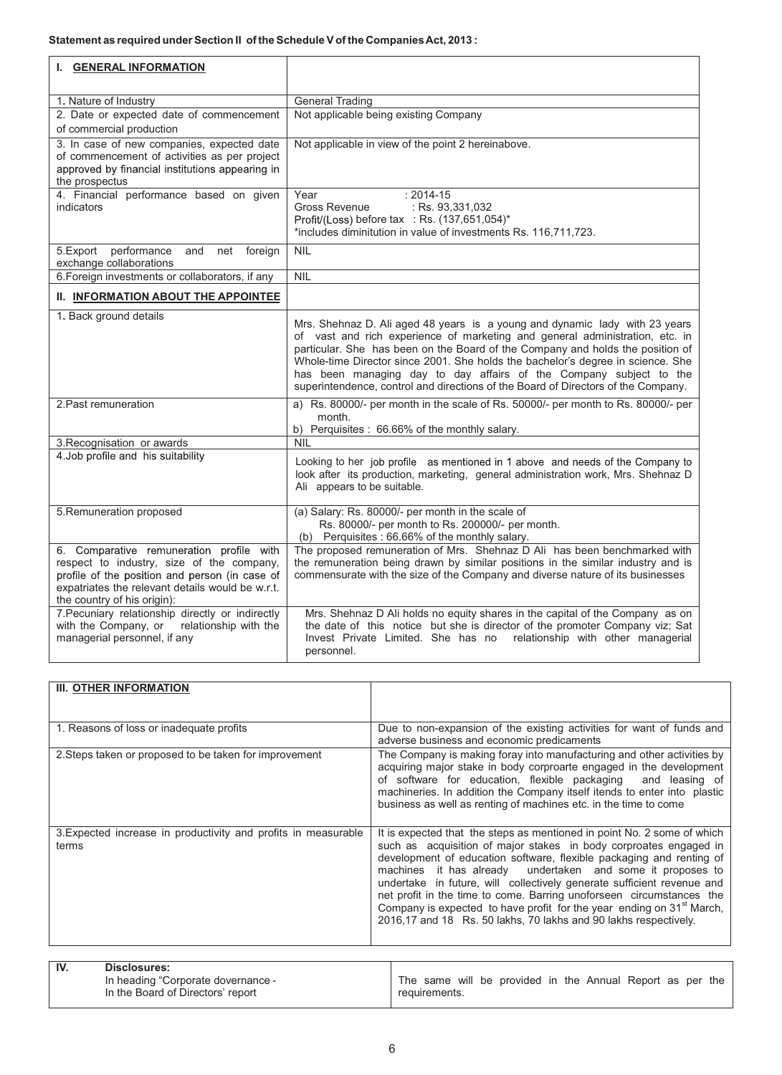| I. GENERAL INFORMATION                                                                                                                                                                                                     |                                                                                                                                                                                                                                                                                                                                                                                                                                                                                             |
|----------------------------------------------------------------------------------------------------------------------------------------------------------------------------------------------------------------------------|---------------------------------------------------------------------------------------------------------------------------------------------------------------------------------------------------------------------------------------------------------------------------------------------------------------------------------------------------------------------------------------------------------------------------------------------------------------------------------------------|
| 1. Nature of Industry                                                                                                                                                                                                      | <b>General Trading</b>                                                                                                                                                                                                                                                                                                                                                                                                                                                                      |
| 2. Date or expected date of commencement                                                                                                                                                                                   | Not applicable being existing Company                                                                                                                                                                                                                                                                                                                                                                                                                                                       |
| of commercial production                                                                                                                                                                                                   |                                                                                                                                                                                                                                                                                                                                                                                                                                                                                             |
| 3. In case of new companies, expected date<br>of commencement of activities as per project<br>approved by financial institutions appearing in<br>the prospectus                                                            | Not applicable in view of the point 2 hereinabove.                                                                                                                                                                                                                                                                                                                                                                                                                                          |
| 4. Financial performance based on given<br>indicators                                                                                                                                                                      | $: 2014 - 15$<br>Year<br>Gross Revenue<br>: Rs. 93,331,032                                                                                                                                                                                                                                                                                                                                                                                                                                  |
|                                                                                                                                                                                                                            | Profit/(Loss) before tax : Rs. (137,651,054)*                                                                                                                                                                                                                                                                                                                                                                                                                                               |
|                                                                                                                                                                                                                            | *includes diminitution in value of investments Rs. 116,711,723.                                                                                                                                                                                                                                                                                                                                                                                                                             |
| 5.Export<br>performance<br>and<br>net<br>foreign<br>exchange collaborations                                                                                                                                                | <b>NIL</b>                                                                                                                                                                                                                                                                                                                                                                                                                                                                                  |
| 6. Foreign investments or collaborators, if any                                                                                                                                                                            | NIL                                                                                                                                                                                                                                                                                                                                                                                                                                                                                         |
| <b>II. INFORMATION ABOUT THE APPOINTEE</b>                                                                                                                                                                                 |                                                                                                                                                                                                                                                                                                                                                                                                                                                                                             |
| 1. Back ground details                                                                                                                                                                                                     | Mrs. Shehnaz D. Ali aged 48 years is a young and dynamic lady with 23 years<br>of vast and rich experience of marketing and general administration, etc. in<br>particular. She has been on the Board of the Company and holds the position of<br>Whole-time Director since 2001. She holds the bachelor's degree in science. She<br>has been managing day to day affairs of the Company subject to the<br>superintendence, control and directions of the Board of Directors of the Company. |
| 2. Past remuneration                                                                                                                                                                                                       | a) Rs. 80000/- per month in the scale of Rs. 50000/- per month to Rs. 80000/- per<br>month.                                                                                                                                                                                                                                                                                                                                                                                                 |
|                                                                                                                                                                                                                            | b) Perquisites: 66.66% of the monthly salary.<br><b>NIL</b>                                                                                                                                                                                                                                                                                                                                                                                                                                 |
| 3. Recognisation or awards<br>4. Job profile and his suitability                                                                                                                                                           |                                                                                                                                                                                                                                                                                                                                                                                                                                                                                             |
|                                                                                                                                                                                                                            | Looking to her job profile as mentioned in 1 above and needs of the Company to<br>look after its production, marketing, general administration work, Mrs. Shehnaz D<br>Ali appears to be suitable.                                                                                                                                                                                                                                                                                          |
| 5. Remuneration proposed                                                                                                                                                                                                   | (a) Salary: Rs. 80000/- per month in the scale of<br>Rs. 80000/- per month to Rs. 200000/- per month.<br>(b) Perquisites : 66.66% of the monthly salary.                                                                                                                                                                                                                                                                                                                                    |
| 6. Comparative remuneration profile with<br>respect to industry, size of the company,<br>profile of the position and person (in case of<br>expatriates the relevant details would be w.r.t.<br>the country of his origin): | The proposed remuneration of Mrs. Shehnaz D Ali has been benchmarked with<br>the remuneration being drawn by similar positions in the similar industry and is<br>commensurate with the size of the Company and diverse nature of its businesses                                                                                                                                                                                                                                             |
| 7. Pecuniary relationship directly or indirectly<br>with the Company, or relationship with the<br>managerial personnel, if any                                                                                             | Mrs. Shehnaz D Ali holds no equity shares in the capital of the Company as on<br>the date of this notice but she is director of the promoter Company viz; Sat<br>Invest Private Limited. She has no<br>relationship with other managerial<br>personnel.                                                                                                                                                                                                                                     |

| III. OTHER INFORMATION                                                  |                                                                                                                                                                                                                                                                                                                                                                                                                                                                                                                                                                                               |
|-------------------------------------------------------------------------|-----------------------------------------------------------------------------------------------------------------------------------------------------------------------------------------------------------------------------------------------------------------------------------------------------------------------------------------------------------------------------------------------------------------------------------------------------------------------------------------------------------------------------------------------------------------------------------------------|
| 1. Reasons of loss or inadequate profits                                | Due to non-expansion of the existing activities for want of funds and<br>adverse business and economic predicaments                                                                                                                                                                                                                                                                                                                                                                                                                                                                           |
| 2. Steps taken or proposed to be taken for improvement                  | The Company is making foray into manufacturing and other activities by<br>acquiring major stake in body corproarte engaged in the development<br>of software for education, flexible packaging and leasing of<br>machineries. In addition the Company itself itends to enter into plastic<br>business as well as renting of machines etc. in the time to come                                                                                                                                                                                                                                 |
| 3. Expected increase in productivity and profits in measurable<br>terms | It is expected that the steps as mentioned in point No. 2 some of which<br>such as acquisition of major stakes in body corproates engaged in<br>development of education software, flexible packaging and renting of<br>machines it has already undertaken and some it proposes to<br>undertake in future, will collectively generate sufficient revenue and<br>net profit in the time to come. Barring unoforseen circumstances the<br>Company is expected to have profit for the year ending on 31 <sup>st</sup> March,<br>2016,17 and 18 Rs. 50 lakhs, 70 lakhs and 90 lakhs respectively. |

| IV. | Disclosures:                       |               |  |                                                           |  |  |  |  |
|-----|------------------------------------|---------------|--|-----------------------------------------------------------|--|--|--|--|
|     | In heading "Corporate dovernance - |               |  | The same will be provided in the Annual Report as per the |  |  |  |  |
|     | In the Board of Directors' report  | requirements. |  |                                                           |  |  |  |  |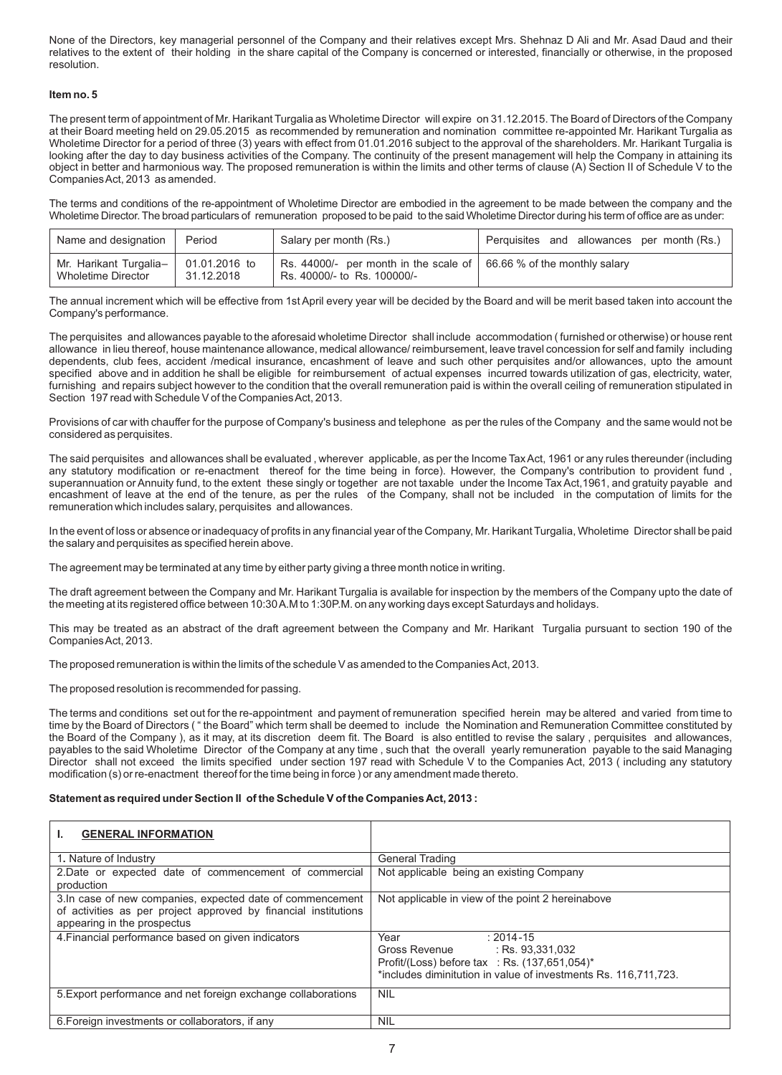None of the Directors, key managerial personnel of the Company and their relatives except Mrs. Shehnaz D Ali and Mr. Asad Daud and their relatives to the extent of their holding in the share capital of the Company is concerned or interested, financially or otherwise, in the proposed resolution.

### **Item no. 5**

The present term of appointment of Mr. Harikant Turgalia as Wholetime Director will expire on 31.12.2015. The Board of Directors of the Company at their Board meeting held on 29.05.2015 as recommended by remuneration and nomination committee re-appointed Mr. Harikant Turgalia as Wholetime Director for a period of three (3) years with effect from 01.01.2016 subject to the approval of the shareholders. Mr. Harikant Turgalia is looking after the day to day business activities of the Company. The continuity of the present management will help the Company in attaining its object in better and harmonious way. The proposed remuneration is within the limits and other terms of clause (A) Section II of Schedule V to the Companies Act, 2013 as amended.

The terms and conditions of the re-appointment of Wholetime Director are embodied in the agreement to be made between the company and the Wholetime Director. The broad particulars of remuneration proposed to be paid to the said Wholetime Director during his term of office are as under:

| Name and designation                                         | Period     | Salary per month (Rs.)                                                                                     | Perquisites and allowances per month (Rs.) |
|--------------------------------------------------------------|------------|------------------------------------------------------------------------------------------------------------|--------------------------------------------|
| Mr. Harikant Turgalia-   01.01.2016 to<br>Wholetime Director | 31.12.2018 | Rs. 44000/- per month in the scale of $\vert$ 66.66 % of the monthly salary<br>Rs. 40000/- to Rs. 100000/- |                                            |

The annual increment which will be effective from 1st April every year will be decided by the Board and will be merit based taken into account the Company's performance.

The perquisites and allowances payable to the aforesaid wholetime Director shall include accommodation ( furnished or otherwise) or house rent allowance in lieu thereof, house maintenance allowance, medical allowance/ reimbursement, leave travel concession for self and family including dependents, club fees, accident /medical insurance, encashment of leave and such other perquisites and/or allowances, upto the amount specified above and in addition he shall be eligible for reimbursement of actual expenses incurred towards utilization of gas, electricity, water, furnishing and repairs subject however to the condition that the overall remuneration paid is within the overall ceiling of remuneration stipulated in Section 197 read with Schedule V of the Companies Act, 2013.

Provisions of car with chauffer for the purpose of Company's business and telephone as per the rules of the Company and the same would not be considered as perquisites.

The said perquisites and allowances shall be evaluated , wherever applicable, as per the Income Tax Act, 1961 or any rules thereunder (including any statutory modification or re-enactment thereof for the time being in force). However, the Company's contribution to provident fund , superannuation or Annuity fund, to the extent these singly or together are not taxable under the Income Tax Act,1961, and gratuity payable and encashment of leave at the end of the tenure, as per the rules of the Company, shall not be included in the computation of limits for the remuneration which includes salary, perquisites and allowances.

In the event of loss or absence or inadequacy of profits in any financial year of the Company, Mr. Harikant Turgalia, Wholetime Director shall be paid the salary and perquisites as specified herein above.

The agreement may be terminated at any time by either party giving a three month notice in writing.

The draft agreement between the Company and Mr. Harikant Turgalia is available for inspection by the members of the Company upto the date of the meeting at its registered office between 10:30 A.M to 1:30P.M. on any working days except Saturdays and holidays.

This may be treated as an abstract of the draft agreement between the Company and Mr. Harikant Turgalia pursuant to section 190 of the Companies Act, 2013.

The proposed remuneration is within the limits of the schedule V as amended to the Companies Act, 2013.

The proposed resolution is recommended for passing.

The terms and conditions set out for the re-appointment and payment of remuneration specified herein may be altered and varied from time to time by the Board of Directors ( " the Board" which term shall be deemed to include the Nomination and Remuneration Committee constituted by the Board of the Company ), as it may, at its discretion deem fit. The Board is also entitled to revise the salary , perquisites and allowances, payables to the said Wholetime Director of the Company at any time , such that the overall yearly remuneration payable to the said Managing Director shall not exceed the limits specified under section 197 read with Schedule V to the Companies Act, 2013 ( including any statutory modification (s) or re-enactment thereof for the time being in force ) or any amendment made thereto.

# **Statement as required under Section II of the Schedule V of the Companies Act, 2013 :**

| <b>GENERAL INFORMATION</b><br>ı.                                                                                                                             |                                                                                                                                                                                |
|--------------------------------------------------------------------------------------------------------------------------------------------------------------|--------------------------------------------------------------------------------------------------------------------------------------------------------------------------------|
| 1. Nature of Industry                                                                                                                                        | <b>General Trading</b>                                                                                                                                                         |
| 2. Date or expected date of commencement of commercial<br>production                                                                                         | Not applicable being an existing Company                                                                                                                                       |
| 3. In case of new companies, expected date of commencement<br>of activities as per project approved by financial institutions<br>appearing in the prospectus | Not applicable in view of the point 2 hereinabove                                                                                                                              |
| 4. Financial performance based on given indicators                                                                                                           | $: 2014 - 15$<br>Year<br>Gross Revenue : Rs. 93,331,032<br>Profit/(Loss) before tax : Rs. $(137,651,054)^*$<br>*includes diminitution in value of investments Rs. 116,711,723. |
| 5. Export performance and net foreign exchange collaborations                                                                                                | <b>NIL</b>                                                                                                                                                                     |
| 6. Foreign investments or collaborators, if any                                                                                                              | <b>NIL</b>                                                                                                                                                                     |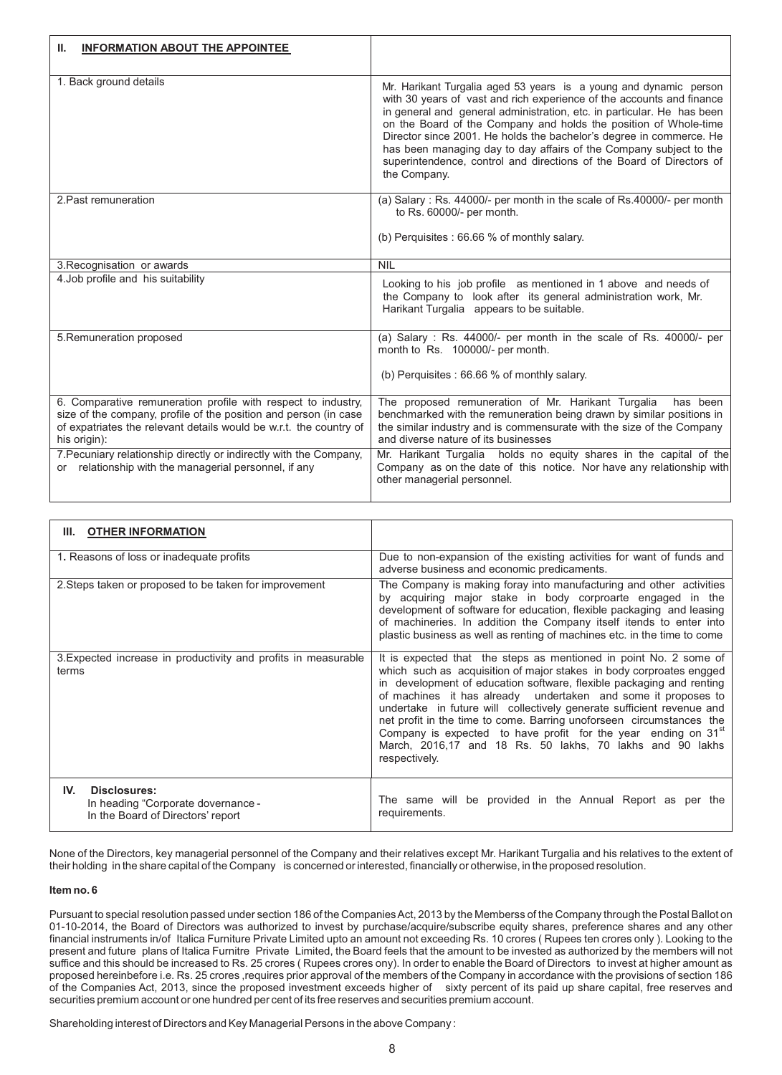| <b>INFORMATION ABOUT THE APPOINTEE</b><br>Ш.                                                                                                                                                                            |                                                                                                                                                                                                                                                                                                                                                                                                                                                                                                                               |
|-------------------------------------------------------------------------------------------------------------------------------------------------------------------------------------------------------------------------|-------------------------------------------------------------------------------------------------------------------------------------------------------------------------------------------------------------------------------------------------------------------------------------------------------------------------------------------------------------------------------------------------------------------------------------------------------------------------------------------------------------------------------|
| 1. Back ground details                                                                                                                                                                                                  | Mr. Harikant Turgalia aged 53 years is a young and dynamic person<br>with 30 years of vast and rich experience of the accounts and finance<br>in general and general administration, etc. in particular. He has been<br>on the Board of the Company and holds the position of Whole-time<br>Director since 2001. He holds the bachelor's degree in commerce. He<br>has been managing day to day affairs of the Company subject to the<br>superintendence, control and directions of the Board of Directors of<br>the Company. |
| 2. Past remuneration                                                                                                                                                                                                    | (a) Salary : Rs. 44000/- per month in the scale of Rs.40000/- per month<br>to Rs. 60000/- per month.<br>(b) Perquisites : 66.66 % of monthly salary.                                                                                                                                                                                                                                                                                                                                                                          |
| 3. Recognisation or awards                                                                                                                                                                                              | <b>NIL</b>                                                                                                                                                                                                                                                                                                                                                                                                                                                                                                                    |
| 4. Job profile and his suitability                                                                                                                                                                                      | Looking to his job profile as mentioned in 1 above and needs of<br>the Company to look after its general administration work, Mr.<br>Harikant Turgalia appears to be suitable.                                                                                                                                                                                                                                                                                                                                                |
| 5. Remuneration proposed                                                                                                                                                                                                | (a) Salary : Rs. 44000/- per month in the scale of Rs. 40000/- per<br>month to Rs. 100000/- per month.<br>(b) Perquisites: 66.66 % of monthly salary.                                                                                                                                                                                                                                                                                                                                                                         |
| 6. Comparative remuneration profile with respect to industry,<br>size of the company, profile of the position and person (in case<br>of expatriates the relevant details would be w.r.t. the country of<br>his origin): | The proposed remuneration of Mr. Harikant Turgalia has been<br>benchmarked with the remuneration being drawn by similar positions in<br>the similar industry and is commensurate with the size of the Company<br>and diverse nature of its businesses                                                                                                                                                                                                                                                                         |
| 7. Pecuniary relationship directly or indirectly with the Company,<br>or relationship with the managerial personnel, if any                                                                                             | Mr. Harikant Turgalia holds no equity shares in the capital of the<br>Company as on the date of this notice. Nor have any relationship with<br>other managerial personnel.                                                                                                                                                                                                                                                                                                                                                    |

| III. OTHER INFORMATION                                                                         |                                                                                                                                                                                                                                                                                                                                                                                                                                                                                                                                                                                                |
|------------------------------------------------------------------------------------------------|------------------------------------------------------------------------------------------------------------------------------------------------------------------------------------------------------------------------------------------------------------------------------------------------------------------------------------------------------------------------------------------------------------------------------------------------------------------------------------------------------------------------------------------------------------------------------------------------|
| 1. Reasons of loss or inadequate profits                                                       | Due to non-expansion of the existing activities for want of funds and<br>adverse business and economic predicaments.                                                                                                                                                                                                                                                                                                                                                                                                                                                                           |
| 2. Steps taken or proposed to be taken for improvement                                         | The Company is making foray into manufacturing and other activities<br>by acquiring major stake in body corproarte engaged in the<br>development of software for education, flexible packaging and leasing<br>of machineries. In addition the Company itself itends to enter into<br>plastic business as well as renting of machines etc. in the time to come                                                                                                                                                                                                                                  |
| 3. Expected increase in productivity and profits in measurable<br>terms                        | It is expected that the steps as mentioned in point No. 2 some of<br>which such as acquisition of major stakes in body corproates engged<br>in development of education software, flexible packaging and renting<br>of machines it has already undertaken and some it proposes to<br>undertake in future will collectively generate sufficient revenue and<br>net profit in the time to come. Barring unoforseen circumstances the<br>Company is expected to have profit for the year ending on 31 <sup>st</sup><br>March, 2016,17 and 18 Rs. 50 lakhs, 70 lakhs and 90 lakhs<br>respectively. |
| IV.<br>Disclosures:<br>In heading "Corporate dovernance -<br>In the Board of Directors' report | The same will be provided in the Annual Report as per the<br>requirements.                                                                                                                                                                                                                                                                                                                                                                                                                                                                                                                     |

None of the Directors, key managerial personnel of the Company and their relatives except Mr. Harikant Turgalia and his relatives to the extent of their holding in the share capital of the Company is concerned or interested, financially or otherwise, in the proposed resolution.

# **Item no. 6**

Pursuant to special resolution passed under section 186 of the Companies Act, 2013 by the Memberss of the Company through the Postal Ballot on 01-10-2014, the Board of Directors was authorized to invest by purchase/acquire/subscribe equity shares, preference shares and any other financial instruments in/of Italica Furniture Private Limited upto an amount not exceeding Rs. 10 crores ( Rupees ten crores only ). Looking to the present and future plans of Italica Furnitre Private Limited, the Board feels that the amount to be invested as authorized by the members will not suffice and this should be increased to Rs. 25 crores ( Rupees crores ony). In order to enable the Board of Directors to invest at higher amount as proposed hereinbefore i.e. Rs. 25 crores ,requires prior approval of the members of the Company in accordance with the provisions of section 186 of the Companies Act, 2013, since the proposed investment exceeds higher of sixty percent of its paid up share capital, free reserves and securities premium account or one hundred per cent of its free reserves and securities premium account.

Shareholding interest of Directors and Key Managerial Persons in the above Company :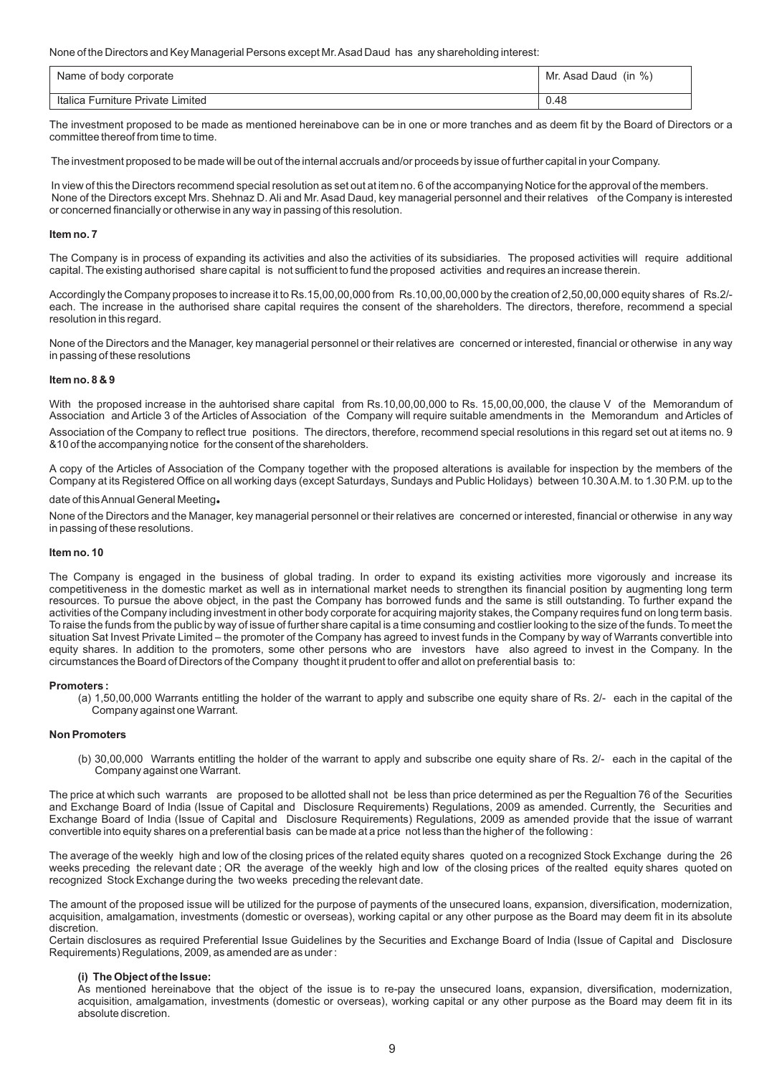None of the Directors and Key Managerial Persons except Mr. Asad Daud has any shareholding interest:

| Name of body corporate            | Mr. Asad Daud (in %) |
|-----------------------------------|----------------------|
| Italica Furniture Private Limited | 0.48                 |

The investment proposed to be made as mentioned hereinabove can be in one or more tranches and as deem fit by the Board of Directors or a committee thereof from time to time.

The investment proposed to be made will be out of the internal accruals and/or proceeds by issue of further capital in your Company.

 In view of this the Directors recommend special resolution as set out at item no. 6 of the accompanying Notice for the approval of the members. None of the Directors except Mrs. Shehnaz D. Ali and Mr. Asad Daud, key managerial personnel and their relatives of the Company is interested or concerned financially or otherwise in any way in passing of this resolution.

### **Item no. 7**

The Company is in process of expanding its activities and also the activities of its subsidiaries. The proposed activities will require additional capital. The existing authorised share capital is not sufficient to fund the proposed activities and requires an increase therein.

Accordingly the Company proposes to increase it to Rs.15,00,00,000 from Rs.10,00,00,000 by the creation of 2,50,00,000 equity shares of Rs.2/ each. The increase in the authorised share capital requires the consent of the shareholders. The directors, therefore, recommend a special resolution in this regard.

None of the Directors and the Manager, key managerial personnel or their relatives are concerned or interested, financial or otherwise in any way in passing of these resolutions

# **Item no. 8 & 9**

With the proposed increase in the auhtorised share capital from Rs.10,00,00,000 to Rs. 15,00,00,000, the clause V of the Memorandum of Association and Article 3 of the Articles of Association of the Company will require suitable amendments in the Memorandum and Articles of Association of the Company to reflect true positions. The directors, therefore, recommend special resolutions in this regard set out at items no. 9 &10 of the accompanying notice for the consent of the shareholders.

A copy of the Articles of Association of the Company together with the proposed alterations is available for inspection by the members of the Company at its Registered Office on all working days (except Saturdays, Sundays and Public Holidays) between 10.30 A.M. to 1.30 P.M. up to the

### date of this Annual General Meeting**.**

None of the Directors and the Manager, key managerial personnel or their relatives are concerned or interested, financial or otherwise in any way in passing of these resolutions.

#### **Item no. 10**

The Company is engaged in the business of global trading. In order to expand its existing activities more vigorously and increase its competitiveness in the domestic market as well as in international market needs to strengthen its financial position by augmenting long term resources. To pursue the above object, in the past the Company has borrowed funds and the same is still outstanding. To further expand the activities of the Company including investment in other body corporate for acquiring majority stakes, the Company requires fund on long term basis. To raise the funds from the public by way of issue of further share capital is a time consuming and costlier looking to the size of the funds. To meet the situation Sat Invest Private Limited – the promoter of the Company has agreed to invest funds in the Company by way of Warrants convertible into equity shares. In addition to the promoters, some other persons who are investors have also agreed to invest in the Company. In the circumstances the Board of Directors of the Company thought it prudent to offer and allot on preferential basis to:

#### **Promoters :**

(a) 1,50,00,000 Warrants entitling the holder of the warrant to apply and subscribe one equity share of Rs. 2/- each in the capital of the Company against one Warrant.

#### **Non Promoters**

(b) 30,00,000 Warrants entitling the holder of the warrant to apply and subscribe one equity share of Rs. 2/- each in the capital of the Company against one Warrant.

The price at which such warrants are proposed to be allotted shall not be less than price determined as per the Regualtion 76 of the Securities and Exchange Board of India (Issue of Capital and Disclosure Requirements) Regulations, 2009 as amended. Currently, the Securities and Exchange Board of India (Issue of Capital and Disclosure Requirements) Regulations, 2009 as amended provide that the issue of warrant convertible into equity shares on a preferential basis can be made at a price not less than the higher of the following :

The average of the weekly high and low of the closing prices of the related equity shares quoted on a recognized Stock Exchange during the 26 weeks preceding the relevant date ; OR the average of the weekly high and low of the closing prices of the realted equity shares quoted on recognized Stock Exchange during the two weeks preceding the relevant date.

The amount of the proposed issue will be utilized for the purpose of payments of the unsecured loans, expansion, diversification, modernization, acquisition, amalgamation, investments (domestic or overseas), working capital or any other purpose as the Board may deem fit in its absolute discretion.

Certain disclosures as required Preferential Issue Guidelines by the Securities and Exchange Board of India (Issue of Capital and Disclosure Requirements) Regulations, 2009, as amended are as under :

# **(i) The Object of the Issue:**

As mentioned hereinabove that the object of the issue is to re-pay the unsecured loans, expansion, diversification, modernization, acquisition, amalgamation, investments (domestic or overseas), working capital or any other purpose as the Board may deem fit in its absolute discretion.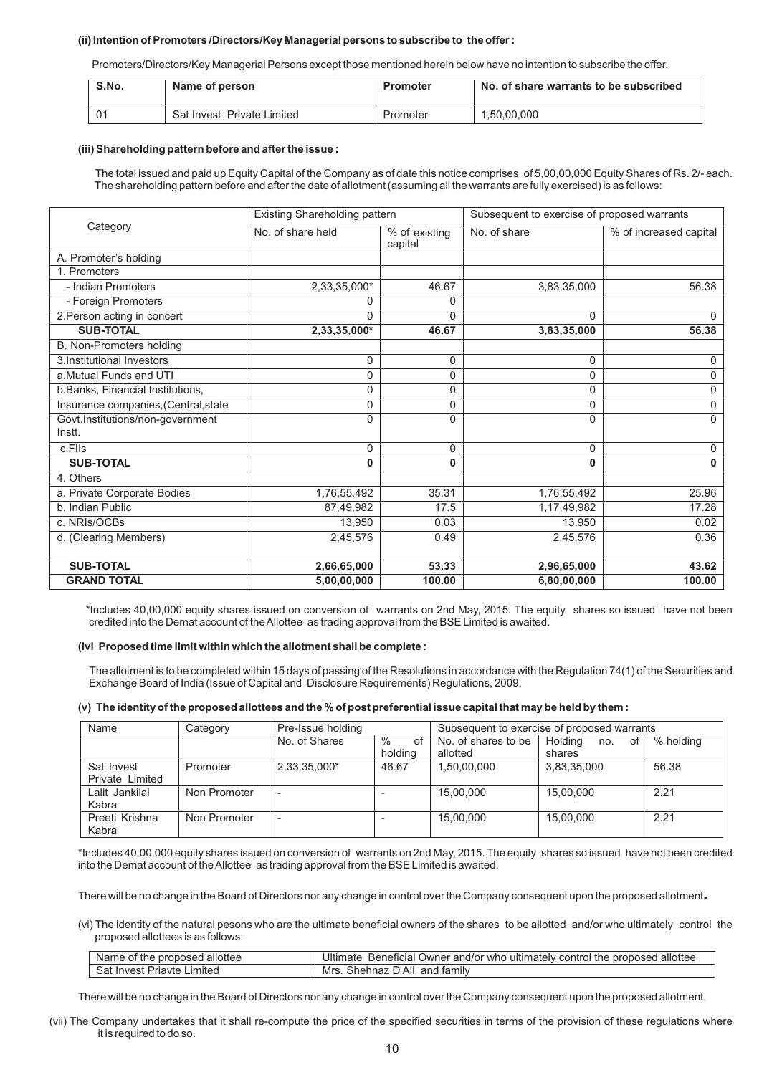### **(ii) Intention of Promoters /Directors/Key Managerial persons to subscribe to the offer :**

Promoters/Directors/Key Managerial Persons except those mentioned herein below have no intention to subscribe the offer.

| S.No.     | Name of person             | Promoter | No. of share warrants to be subscribed |
|-----------|----------------------------|----------|----------------------------------------|
| $\bigcap$ | Sat Invest Private Limited | Promoter | 1.50.00.000                            |

#### **(iii) Shareholding pattern before and after the issue :**

 The total issued and paid up Equity Capital of the Company as of date this notice comprises of 5,00,00,000 Equity Shares of Rs. 2/- each. The shareholding pattern before and after the date of allotment (assuming all the warrants are fully exercised) is as follows:

|                                      | Existing Shareholding pattern |                          | Subsequent to exercise of proposed warrants |                        |  |
|--------------------------------------|-------------------------------|--------------------------|---------------------------------------------|------------------------|--|
| Category                             | No. of share held             | % of existing<br>capital | No. of share                                | % of increased capital |  |
| A. Promoter's holding                |                               |                          |                                             |                        |  |
| 1. Promoters                         |                               |                          |                                             |                        |  |
| - Indian Promoters                   | 2,33,35,000*                  | 46.67                    | 3,83,35,000                                 | 56.38                  |  |
| - Foreign Promoters                  | 0                             | 0                        |                                             |                        |  |
| 2. Person acting in concert          | $\Omega$                      | 0                        | 0                                           | $\Omega$               |  |
| <b>SUB-TOTAL</b>                     | 2,33,35,000*                  | 46.67                    | 3,83,35,000                                 | 56.38                  |  |
| B. Non-Promoters holding             |                               |                          |                                             |                        |  |
| 3.Institutional Investors            | $\Omega$                      | 0                        | 0                                           | $\Omega$               |  |
| a. Mutual Funds and UTI              | 0                             | 0                        | 0                                           | 0                      |  |
| b.Banks, Financial Institutions,     | 0                             | 0                        | 0                                           | $\mathbf 0$            |  |
| Insurance companies, (Central, state | 0                             | 0                        | 0                                           | $\mathbf 0$            |  |
| Govt.Institutions/non-government     | $\Omega$                      | 0                        | 0                                           | $\Omega$               |  |
| Instt.                               |                               |                          |                                             |                        |  |
| c.Flls                               | 0                             | 0                        | 0                                           | $\Omega$               |  |
| <b>SUB-TOTAL</b>                     | $\bf{0}$                      | 0                        | 0                                           | $\mathbf{0}$           |  |
| 4. Others                            |                               |                          |                                             |                        |  |
| a. Private Corporate Bodies          | 1,76,55,492                   | 35.31                    | 1,76,55,492                                 | 25.96                  |  |
| b. Indian Public                     | 87,49,982                     | 17.5                     | 1,17,49,982                                 | 17.28                  |  |
| c. NRIs/OCBs                         | 13,950                        | 0.03                     | 13,950                                      | 0.02                   |  |
| d. (Clearing Members)                | 2,45,576                      | 0.49                     | 2,45,576                                    | 0.36                   |  |
|                                      |                               |                          |                                             |                        |  |
| <b>SUB-TOTAL</b>                     | 2,66,65,000                   | 53.33                    | 2,96,65,000                                 | 43.62                  |  |
| <b>GRAND TOTAL</b>                   | 5,00,00,000                   | 100.00                   | 6,80,00,000                                 | 100.00                 |  |

 \*Includes 40,00,000 equity shares issued on conversion of warrants on 2nd May, 2015. The equity shares so issued have not been credited into the Demat account of the Allottee as trading approval from the BSE Limited is awaited.

#### **(ivi Proposed time limit within which the allotment shall be complete :**

 The allotment is to be completed within 15 days of passing of the Resolutions in accordance with the Regulation 74(1) of the Securities and Exchange Board of India (Issue of Capital and Disclosure Requirements) Regulations, 2009.

### **(v) The identity of the proposed allottees and the % of post preferential issue capital that may be held by them :**

| Name                          | Category     | Pre-Issue holding |                       | Subsequent to exercise of proposed warrants |                                |           |
|-------------------------------|--------------|-------------------|-----------------------|---------------------------------------------|--------------------------------|-----------|
|                               |              | No. of Shares     | $\%$<br>οf<br>holdina | No. of shares to be<br>allotted             | Holding<br>of<br>no.<br>shares | % holding |
| Sat Invest<br>Private Limited | Promoter     | 2,33,35,000*      | 46.67                 | 1,50,00,000                                 | 3,83,35,000                    | 56.38     |
| Lalit Jankilal<br>Kabra       | Non Promoter |                   |                       | 15.00.000                                   | 15.00.000                      | 2.21      |
| Preeti Krishna<br>Kabra       | Non Promoter |                   |                       | 15.00.000                                   | 15.00.000                      | 2.21      |

\*Includes 40,00,000 equity shares issued on conversion of warrants on 2nd May, 2015. The equity shares so issued have not been credited into the Demat account of the Allottee as trading approval from the BSE Limited is awaited.

There will be no change in the Board of Directors nor any change in control over the Company consequent upon the proposed allotment**.**

(vi) The identity of the natural pesons who are the ultimate beneficial owners of the shares to be allotted and/or who ultimately control the proposed allottees is as follows:

| l allottee<br>Name of the proposed          | Ultim<br>allottee<br>the<br>altimately o<br>control<br>nr<br>and/or<br>who<br>Beneticial<br>. )wner<br><b>ODOSEC</b><br>าate |
|---------------------------------------------|------------------------------------------------------------------------------------------------------------------------------|
| _imited<br>Sat<br>Priavte.<br><b>Invest</b> | াamıl∖<br>Shehnaz<br>Ali<br>Mrs<br>and                                                                                       |

There will be no change in the Board of Directors nor any change in control over the Company consequent upon the proposed allotment.

(vii) The Company undertakes that it shall re-compute the price of the specified securities in terms of the provision of these regulations where it is required to do so.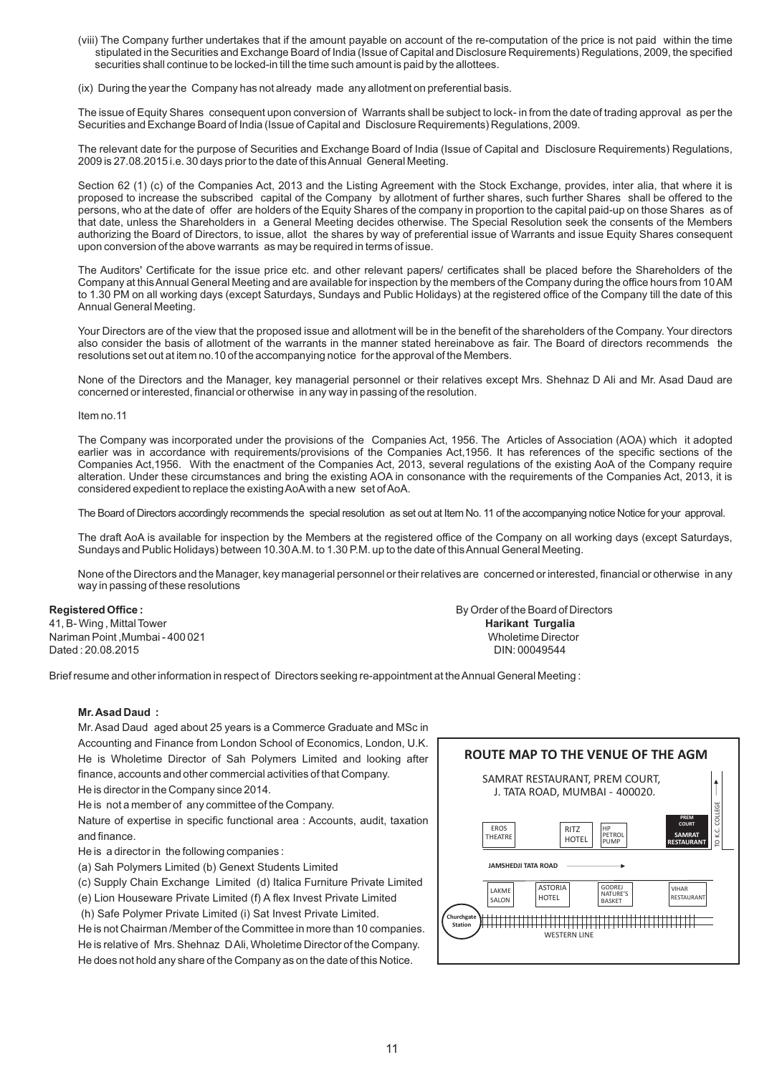(viii) The Company further undertakes that if the amount payable on account of the re-computation of the price is not paid within the time stipulated in the Securities and Exchange Board of India (Issue of Capital and Disclosure Requirements) Regulations, 2009, the specified securities shall continue to be locked-in till the time such amount is paid by the allottees.

(ix) During the year the Company has not already made any allotment on preferential basis.

The issue of Equity Shares consequent upon conversion of Warrants shall be subject to lock- in from the date of trading approval as per the Securities and Exchange Board of India (Issue of Capital and Disclosure Requirements) Regulations, 2009.

The relevant date for the purpose of Securities and Exchange Board of India (Issue of Capital and Disclosure Requirements) Regulations, 2009 is 27.08.2015 i.e. 30 days prior to the date of this Annual General Meeting.

Section 62 (1) (c) of the Companies Act, 2013 and the Listing Agreement with the Stock Exchange, provides, inter alia, that where it is proposed to increase the subscribed capital of the Company by allotment of further shares, such further Shares shall be offered to the persons, who at the date of offer are holders of the Equity Shares of the company in proportion to the capital paid-up on those Shares as of that date, unless the Shareholders in a General Meeting decides otherwise. The Special Resolution seek the consents of the Members authorizing the Board of Directors, to issue, allot the shares by way of preferential issue of Warrants and issue Equity Shares consequent upon conversion of the above warrants as may be required in terms of issue.

The Auditors' Certificate for the issue price etc. and other relevant papers/ certificates shall be placed before the Shareholders of the Company at this Annual General Meeting and are available for inspection by the members of the Company during the office hours from 10 AM to 1.30 PM on all working days (except Saturdays, Sundays and Public Holidays) at the registered office of the Company till the date of this Annual General Meeting.

Your Directors are of the view that the proposed issue and allotment will be in the benefit of the shareholders of the Company. Your directors also consider the basis of allotment of the warrants in the manner stated hereinabove as fair. The Board of directors recommends the resolutions set out at item no.10 of the accompanying notice for the approval of the Members.

None of the Directors and the Manager, key managerial personnel or their relatives except Mrs. Shehnaz D Ali and Mr. Asad Daud are concerned or interested, financial or otherwise in any way in passing of the resolution.

Item no.11

The Company was incorporated under the provisions of the Companies Act, 1956. The Articles of Association (AOA) which it adopted earlier was in accordance with requirements/provisions of the Companies Act,1956. It has references of the specific sections of the Companies Act,1956. With the enactment of the Companies Act, 2013, several regulations of the existing AoA of the Company require alteration. Under these circumstances and bring the existing AOA in consonance with the requirements of the Companies Act, 2013, it is considered expedient to replace the existing AoA with a new set of AoA.

The Board of Directors accordingly recommends the special resolution as set out at Item No. 11 of the accompanying notice Notice for your approval.

The draft AoA is available for inspection by the Members at the registered office of the Company on all working days (except Saturdays, Sundays and Public Holidays) between 10.30 A.M. to 1.30 P.M. up to the date of this Annual General Meeting.

None of the Directors and the Manager, key managerial personnel or their relatives are concerned or interested, financial or otherwise in any way in passing of these resolutions

41, B- Wing , Mittal Tower **Harikant Turgalia** Nariman Point ,Mumbai - 400 021 Wholetime Director Dated : 20.08.2015 DIN: 00049544

**Registered Office : By Order of the Board of Directors** 

Brief resume and other information in respect of Directors seeking re-appointment at the Annual General Meeting :

# **Mr. Asad Daud :**

Mr. Asad Daud aged about 25 years is a Commerce Graduate and MSc in Accounting and Finance from London School of Economics, London, U.K. He is Wholetime Director of Sah Polymers Limited and looking after finance, accounts and other commercial activities of that Company.

He is director in the Company since 2014.

He is not a member of any committee of the Company.

Nature of expertise in specific functional area : Accounts, audit, taxation and finance.

He is a director in the following companies :

(a) Sah Polymers Limited (b) Genext Students Limited

(c) Supply Chain Exchange Limited (d) Italica Furniture Private Limited

(e) Lion Houseware Private Limited (f) A flex Invest Private Limited

(h) Safe Polymer Private Limited (i) Sat Invest Private Limited.

He is not Chairman /Member of the Committee in more than 10 companies.

He is relative of Mrs. Shehnaz D Ali, Wholetime Director of the Company. He does not hold any share of the Company as on the date of this Notice.